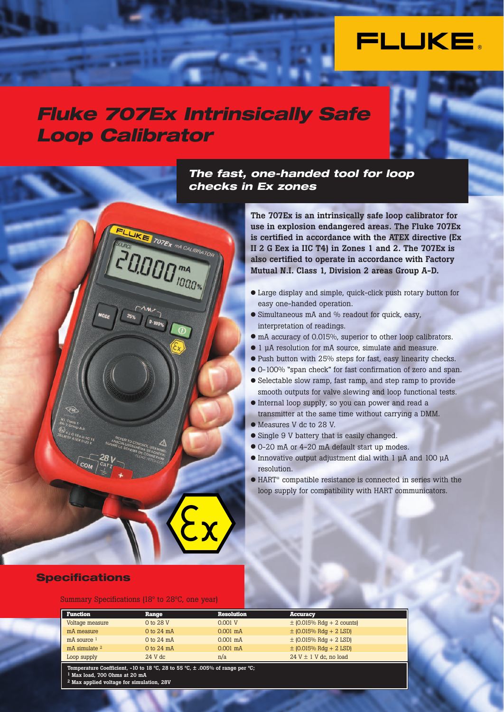

## *Fluke 707Ex Intrinsically Safe Loop Calibrator*

FLUKE 707EX MA CALIBRATOR

**PERSONAL MARK WAS CALIBRATED** 

## *The fast, one-handed tool for loop checks in Ex zones*

**The 707Ex is an intrinsically safe loop calibrator for use in explosion endangered areas. The Fluke 707Ex is certified in accordance with the ATEX directive (Ex II 2 G Eex ia IIC T4) in Zones 1 and 2. The 707Ex is also certified to operate in accordance with Factory Mutual N.I. Class 1, Division 2 areas Group A-D.**

- Large display and simple, quick-click push rotary button for easy one-handed operation.
- Simultaneous mA and % readout for quick, easy, interpretation of readings.
- mA accuracy of 0.015%, superior to other loop calibrators.
- 1 µA resolution for mA source, simulate and measure.
- Push button with 25% steps for fast, easy linearity checks.
- 0-100% "span check" for fast confirmation of zero and span.
- Selectable slow ramp, fast ramp, and step ramp to provide
- smooth outputs for valve slewing and loop functional tests. ● Internal loop supply, so you can power and read a
- transmitter at the same time without carrying a DMM.
- Measures V dc to 28 V.
- Single 9 V battery that is easily changed.
- 0-20 mA or 4-20 mA default start up modes.
- Innovative output adjustment dial with 1 µA and 100 µA resolution.
- HART® compatible resistance is connected in series with the loop supply for compatibility with HART communicators.

### **Specifications**

#### Summary Specifications (18º to 28ºC, one year)

| <b>Function</b> | Range          | <b>Resolution</b>  | Accuracy                      |
|-----------------|----------------|--------------------|-------------------------------|
| Voltage measure | 0 to 28 V      | 0.001 V            | $\pm$ (0.015% Rdg + 2 counts) |
| mA measure      | $0$ to $24$ mA | $0.001$ mA         | $\pm$ (0.015% Rdg + 2 LSD)    |
| $mA$ source $1$ | 0 to 24 mA     | $0.001 \text{ mA}$ | $\pm$ (0.015% Rdg + 2 LSD)    |
| mA simulate 2   | $0$ to $24$ mA | $0.001$ mA         | $\pm$ (0.015% Rdg + 2 LSD)    |
| Loop supply     | $24$ V dc      | n/a                | $24$ V $\pm$ 1 V dc. no load  |

**Temperature Coefficient, -10 to 18 ºC, 28 to 55 ºC, ± .005% of range per ºC; 1 Max load, 700 Ohms at 20 mA**

**2 Max applied voltage for simulation, 28V**